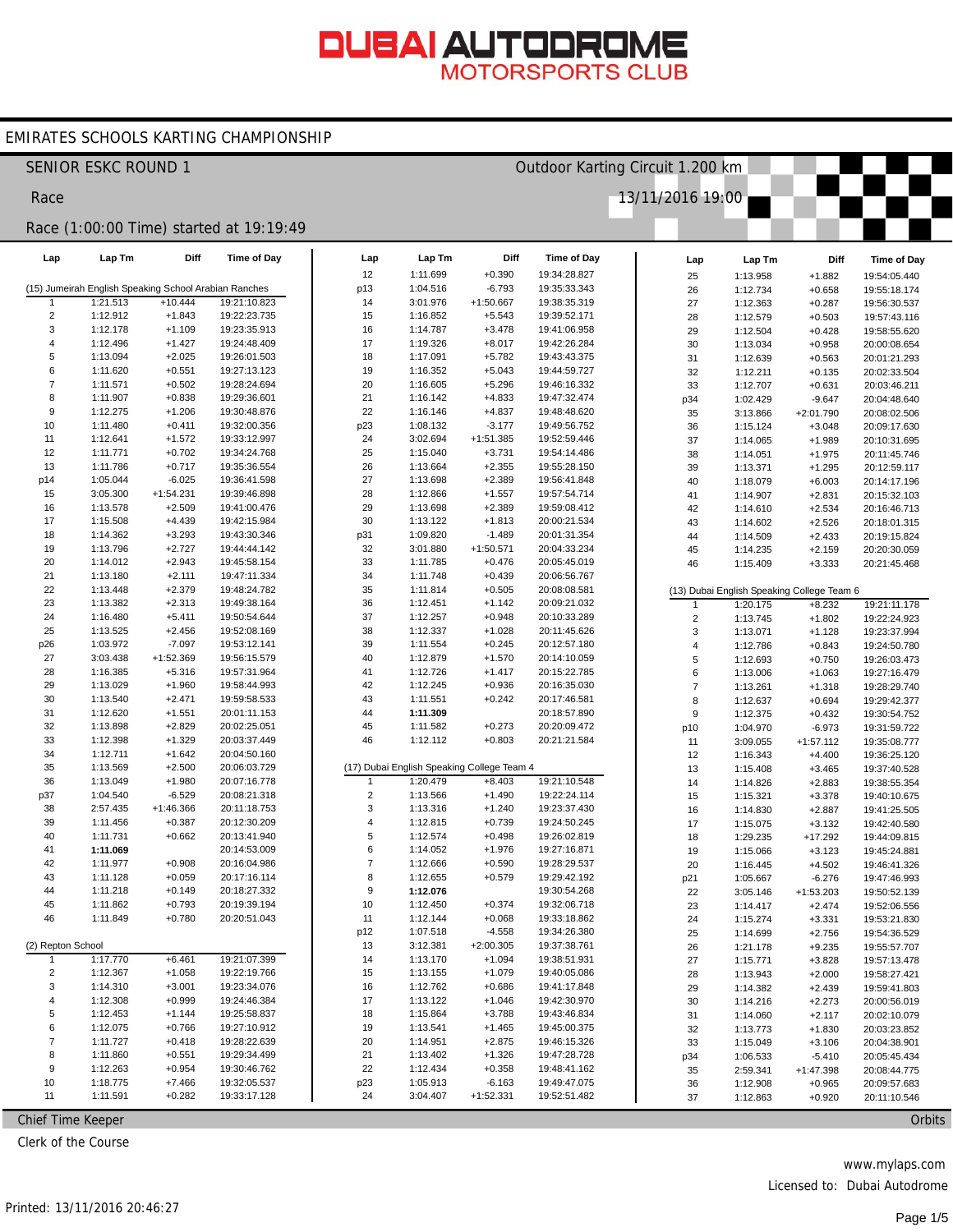#### EMIRATES SCHOOLS KARTING CHAMPIONSHIP

|                              | <b>SENIOR ESKC ROUND 1</b> |                                                                    |                                         |                     | Outdoor Karting Circuit 1.200 km           |                         |                              |                         |                                            |                       |                              |  |  |  |
|------------------------------|----------------------------|--------------------------------------------------------------------|-----------------------------------------|---------------------|--------------------------------------------|-------------------------|------------------------------|-------------------------|--------------------------------------------|-----------------------|------------------------------|--|--|--|
| Race                         |                            |                                                                    |                                         |                     |                                            |                         |                              | 13/11/2016 19:00        |                                            |                       |                              |  |  |  |
|                              |                            |                                                                    | Race (1:00:00 Time) started at 19:19:49 |                     |                                            |                         |                              |                         |                                            |                       |                              |  |  |  |
| Lap                          | Lap Tm                     | Diff                                                               | Time of Day                             | Lap                 | Lap Tm                                     | Diff                    | <b>Time of Day</b>           | Lap                     | Lap Tm                                     | Diff                  | Time of Day                  |  |  |  |
|                              |                            |                                                                    |                                         | 12                  | 1:11.699                                   | $+0.390$                | 19:34:28.827                 | 25                      | 1:13.958                                   | $+1.882$              | 19:54:05.440                 |  |  |  |
|                              | 1:21.513                   | (15) Jumeirah English Speaking School Arabian Ranches<br>$+10.444$ | 19:21:10.823                            | p13<br>14           | 1:04.516<br>3:01.976                       | $-6.793$<br>$+1:50.667$ | 19:35:33.343<br>19:38:35.319 | 26                      | 1:12.734                                   | $+0.658$              | 19:55:18.174                 |  |  |  |
| $\overline{c}$               | 1:12.912                   | $+1.843$                                                           | 19:22:23.735                            | 15                  | 1:16.852                                   | $+5.543$                | 19:39:52.171                 | 27<br>28                | 1:12.363<br>1:12.579                       | $+0.287$<br>$+0.503$  | 19:56:30.537<br>19:57:43.116 |  |  |  |
| 3                            | 1:12.178                   | $+1.109$                                                           | 19:23:35.913                            | 16                  | 1:14.787                                   | $+3.478$                | 19:41:06.958                 | 29                      | 1:12.504                                   | $+0.428$              | 19:58:55.620                 |  |  |  |
| 4                            | 1:12.496                   | $+1.427$                                                           | 19:24:48.409                            | 17                  | 1:19.326                                   | $+8.017$                | 19:42:26.284                 | 30                      | 1:13.034                                   | $+0.958$              | 20:00:08.654                 |  |  |  |
| 5                            | 1:13.094                   | $+2.025$                                                           | 19:26:01.503                            | 18                  | 1:17.091                                   | $+5.782$                | 19:43:43.375                 | 31                      | 1:12.639                                   | $+0.563$              | 20:01:21.293                 |  |  |  |
| 6                            | 1:11.620                   | $+0.551$                                                           | 19:27:13.123                            | 19                  | 1:16.352                                   | $+5.043$                | 19:44:59.727                 | 32                      | 1:12.211                                   | $+0.135$              | 20:02:33.504                 |  |  |  |
| $\overline{7}$               | 1:11.571                   | $+0.502$                                                           | 19:28:24.694                            | 20                  | 1:16.605                                   | $+5.296$                | 19:46:16.332                 | 33                      | 1:12.707                                   | $+0.631$              | 20:03:46.211                 |  |  |  |
| 8                            | 1:11.907                   | $+0.838$                                                           | 19:29:36.601                            | 21                  | 1:16.142                                   | $+4.833$                | 19:47:32.474                 | p34                     | 1:02.429                                   | $-9.647$              | 20:04:48.640                 |  |  |  |
| 9                            | 1:12.275                   | $+1.206$                                                           | 19:30:48.876                            | 22                  | 1:16.146                                   | $+4.837$                | 19:48:48.620                 | 35                      | 3:13.866                                   | $+2:01.790$           | 20:08:02.506                 |  |  |  |
| 10                           | 1:11.480                   | $+0.411$                                                           | 19:32:00.356                            | p23                 | 1:08.132                                   | $-3.177$                | 19:49:56.752                 | 36                      | 1:15.124                                   | $+3.048$              | 20:09:17.630                 |  |  |  |
| 11                           | 1:12.641                   | $+1.572$                                                           | 19:33:12.997                            | 24                  | 3:02.694                                   | $+1:51.385$             | 19:52:59.446                 | 37                      | 1:14.065                                   | $+1.989$              | 20:10:31.695                 |  |  |  |
| 12<br>13                     | 1:11.771<br>1:11.786       | $+0.702$<br>$+0.717$                                               | 19:34:24.768<br>19:35:36.554            | 25<br>26            | 1:15.040<br>1:13.664                       | $+3.731$<br>$+2.355$    | 19:54:14.486<br>19:55:28.150 | 38                      | 1:14.051                                   | $+1.975$              | 20:11:45.746                 |  |  |  |
| p14                          | 1:05.044                   | $-6.025$                                                           | 19:36:41.598                            | 27                  | 1:13.698                                   | $+2.389$                | 19:56:41.848                 | 39                      | 1:13.371                                   | $+1.295$              | 20:12:59.117                 |  |  |  |
| 15                           | 3:05.300                   | $+1:54.231$                                                        | 19:39:46.898                            | 28                  | 1:12.866                                   | $+1.557$                | 19:57:54.714                 | 40<br>41                | 1:18.079<br>1:14.907                       | $+6.003$<br>$+2.831$  | 20:14:17.196<br>20:15:32.103 |  |  |  |
| 16                           | 1:13.578                   | $+2.509$                                                           | 19:41:00.476                            | 29                  | 1:13.698                                   | $+2.389$                | 19:59:08.412                 | 42                      | 1:14.610                                   | $+2.534$              | 20:16:46.713                 |  |  |  |
| 17                           | 1:15.508                   | $+4.439$                                                           | 19:42:15.984                            | 30                  | 1:13.122                                   | $+1.813$                | 20:00:21.534                 | 43                      | 1:14.602                                   | $+2.526$              | 20:18:01.315                 |  |  |  |
| 18                           | 1:14.362                   | $+3.293$                                                           | 19:43:30.346                            | p31                 | 1:09.820                                   | $-1.489$                | 20:01:31.354                 | 44                      | 1:14.509                                   | $+2.433$              | 20:19:15.824                 |  |  |  |
| 19                           | 1:13.796                   | $+2.727$                                                           | 19:44:44.142                            | 32                  | 3:01.880                                   | $+1:50.571$             | 20:04:33.234                 | 45                      | 1:14.235                                   | $+2.159$              | 20:20:30.059                 |  |  |  |
| 20                           | 1:14.012                   | $+2.943$                                                           | 19:45:58.154                            | 33                  | 1:11.785                                   | $+0.476$                | 20:05:45.019                 | 46                      | 1:15.409                                   | $+3.333$              | 20:21:45.468                 |  |  |  |
| 21                           | 1:13.180                   | $+2.111$                                                           | 19:47:11.334                            | 34                  | 1:11.748                                   | $+0.439$                | 20:06:56.767                 |                         |                                            |                       |                              |  |  |  |
| 22                           | 1:13.448                   | $+2.379$                                                           | 19:48:24.782                            | 35                  | 1:11.814                                   | $+0.505$                | 20:08:08.581                 |                         | (13) Dubai English Speaking College Team 6 |                       |                              |  |  |  |
| 23                           | 1:13.382                   | $+2.313$                                                           | 19:49:38.164                            | 36                  | 1:12.451                                   | $+1.142$                | 20:09:21.032                 | $\mathbf{1}$            | 1:20.175                                   | $+8.232$              | 19:21:11.178                 |  |  |  |
| 24                           | 1:16.480                   | $+5.411$                                                           | 19:50:54.644                            | 37                  | 1:12.257                                   | $+0.948$                | 20:10:33.289                 | $\mathbf 2$             | 1:13.745                                   | $+1.802$              | 19:22:24.923                 |  |  |  |
| 25                           | 1:13.525                   | $+2.456$                                                           | 19:52:08.169                            | 38                  | 1:12.337                                   | $+1.028$                | 20:11:45.626                 | 3                       | 1:13.071                                   | $+1.128$              | 19:23:37.994                 |  |  |  |
| p26<br>27                    | 1:03.972<br>3:03.438       | $-7.097$<br>$+1:52.369$                                            | 19:53:12.141<br>19:56:15.579            | 39<br>40            | 1:11.554<br>1:12.879                       | $+0.245$<br>$+1.570$    | 20:12:57.180<br>20:14:10.059 | 4                       | 1:12.786                                   | $+0.843$              | 19:24:50.780                 |  |  |  |
| 28                           | 1:16.385                   | $+5.316$                                                           | 19:57:31.964                            | 41                  | 1:12.726                                   | $+1.417$                | 20:15:22.785                 | 5<br>6                  | 1:12.693<br>1:13.006                       | $+0.750$<br>$+1.063$  | 19:26:03.473<br>19:27:16.479 |  |  |  |
| 29                           | 1:13.029                   | $+1.960$                                                           | 19:58:44.993                            | 42                  | 1:12.245                                   | $+0.936$                | 20:16:35.030                 | $\overline{\mathbf{7}}$ | 1:13.261                                   | $+1.318$              | 19:28:29.740                 |  |  |  |
| 30                           | 1:13.540                   | $+2.471$                                                           | 19:59:58.533                            | 43                  | 1:11.551                                   | $+0.242$                | 20:17:46.581                 | 8                       | 1:12.637                                   | $+0.694$              | 19:29:42.377                 |  |  |  |
| 31                           | 1:12.620                   | $+1.551$                                                           | 20:01:11.153                            | 44                  | 1:11.309                                   |                         | 20:18:57.890                 | 9                       | 1:12.375                                   | $+0.432$              | 19:30:54.752                 |  |  |  |
| 32                           | 1:13.898                   | $+2.829$                                                           | 20:02:25.051                            | 45                  | 1:11.582                                   | $+0.273$                | 20:20:09.472                 | p10                     | 1:04.970                                   | $-6.973$              | 19:31:59.722                 |  |  |  |
| 33                           | 1:12.398                   | $+1.329$                                                           | 20:03:37.449                            | 46                  | 1:12.112                                   | $+0.803$                | 20:21:21.584                 | 11                      | 3:09.055                                   | $+1:57.112$           | 19:35:08.777                 |  |  |  |
| 34                           | 1:12.711                   | $+1.642$                                                           | 20:04:50.160                            |                     |                                            |                         |                              | 12                      | 1:16.343                                   | $+4.400$              | 19:36:25.120                 |  |  |  |
| 35                           | 1:13.569                   | $+2.500$                                                           | 20:06:03.729                            |                     | (17) Dubai English Speaking College Team 4 |                         |                              | 13                      | 1:15.408                                   | $+3.465$              | 19:37:40.528                 |  |  |  |
| 36                           | 1:13.049                   | $+1.980$                                                           | 20:07:16.778                            | -1                  | 1:20.479                                   | $+8.403$                | 19:21:10.548                 | 14                      | 1:14.826                                   | $+2.883$              | 19:38:55.354                 |  |  |  |
| p37                          | 1:04.540                   | $-6.529$                                                           | 20:08:21.318                            | $\sqrt{2}$          | 1:13.566                                   | $+1.490$                | 19:22:24.114                 | 15                      | 1:15.321                                   | $+3.378$              | 19:40:10.675                 |  |  |  |
| 38                           | 2:57.435                   | $+1:46.366$                                                        | 20:11:18.753                            | 3<br>$\overline{4}$ | 1:13.316                                   | $+1.240$<br>$+0.739$    | 19:23:37.430                 | 16                      | 1:14.830                                   | $+2.887$              | 19:41:25.505                 |  |  |  |
| 39<br>40                     | 1:11.456<br>1:11.731       | $+0.387$<br>$+0.662$                                               | 20:12:30.209<br>20:13:41.940            | 5                   | 1:12.815<br>1:12.574                       | $+0.498$                | 19:24:50.245<br>19:26:02.819 | 17<br>18                | 1:15.075                                   | $+3.132$<br>$+17.292$ | 19:42:40.580<br>19:44:09.815 |  |  |  |
| 41                           | 1:11.069                   |                                                                    | 20:14:53.009                            | 6                   | 1:14.052                                   | $+1.976$                | 19:27:16.871                 | 19                      | 1:29.235<br>1:15.066                       | $+3.123$              | 19:45:24.881                 |  |  |  |
| 42                           | 1:11.977                   | $+0.908$                                                           | 20:16:04.986                            | 7                   | 1:12.666                                   | $+0.590$                | 19:28:29.537                 | 20                      | 1:16.445                                   | $+4.502$              | 19:46:41.326                 |  |  |  |
| 43                           | 1:11.128                   | $+0.059$                                                           | 20:17:16.114                            | 8                   | 1:12.655                                   | $+0.579$                | 19:29:42.192                 | p21                     | 1:05.667                                   | $-6.276$              | 19:47:46.993                 |  |  |  |
| 44                           | 1:11.218                   | $+0.149$                                                           | 20:18:27.332                            | 9                   | 1:12.076                                   |                         | 19:30:54.268                 | 22                      | 3:05.146                                   | $+1:53.203$           | 19:50:52.139                 |  |  |  |
| 45                           | 1:11.862                   | $+0.793$                                                           | 20:19:39.194                            | $10$                | 1:12.450                                   | $+0.374$                | 19:32:06.718                 | 23                      | 1:14.417                                   | $+2.474$              | 19:52:06.556                 |  |  |  |
| 46                           | 1:11.849                   | $+0.780$                                                           | 20:20:51.043                            | 11                  | 1:12.144                                   | $+0.068$                | 19:33:18.862                 | 24                      | 1:15.274                                   | $+3.331$              | 19:53:21.830                 |  |  |  |
|                              |                            |                                                                    |                                         | p12                 | 1:07.518                                   | $-4.558$                | 19:34:26.380                 | 25                      | 1:14.699                                   | $+2.756$              | 19:54:36.529                 |  |  |  |
| (2) Repton School            |                            |                                                                    |                                         | 13                  | 3:12.381                                   | $+2:00.305$             | 19:37:38.761                 | 26                      | 1:21.178                                   | $+9.235$              | 19:55:57.707                 |  |  |  |
| $\mathbf{1}$                 | 1:17.770                   | $+6.461$                                                           | 19:21:07.399                            | 14                  | 1:13.170                                   | $+1.094$                | 19:38:51.931                 | 27                      | 1:15.771                                   | $+3.828$              | 19:57:13.478                 |  |  |  |
| $\overline{\mathbf{c}}$<br>3 | 1:12.367                   | $+1.058$<br>$+3.001$                                               | 19:22:19.766                            | 15                  | 1:13.155                                   | $+1.079$                | 19:40:05.086                 | 28                      | 1:13.943                                   | $+2.000$              | 19:58:27.421                 |  |  |  |
| 4                            | 1:14.310<br>1:12.308       | $+0.999$                                                           | 19:23:34.076<br>19:24:46.384            | 16<br>17            | 1:12.762<br>1:13.122                       | $+0.686$<br>$+1.046$    | 19:41:17.848<br>19:42:30.970 | 29                      | 1:14.382                                   | $+2.439$              | 19:59:41.803                 |  |  |  |
| 5                            | 1:12.453                   | $+1.144$                                                           | 19:25:58.837                            | 18                  | 1:15.864                                   | $+3.788$                | 19:43:46.834                 | 30<br>31                | 1:14.216<br>1:14.060                       | $+2.273$<br>$+2.117$  | 20:00:56.019<br>20:02:10.079 |  |  |  |
| 6                            | 1:12.075                   | $+0.766$                                                           | 19:27:10.912                            | 19                  | 1:13.541                                   | $+1.465$                | 19:45:00.375                 | 32                      | 1:13.773                                   | $+1.830$              | 20:03:23.852                 |  |  |  |
| 7                            | 1:11.727                   | $+0.418$                                                           | 19:28:22.639                            | 20                  | 1:14.951                                   | $+2.875$                | 19:46:15.326                 | 33                      | 1:15.049                                   | $+3.106$              | 20:04:38.901                 |  |  |  |
| 8                            | 1:11.860                   | $+0.551$                                                           | 19:29:34.499                            | 21                  | 1:13.402                                   | $+1.326$                | 19:47:28.728                 | p34                     | 1:06.533                                   | $-5.410$              | 20:05:45.434                 |  |  |  |
| 9                            | 1:12.263                   | $+0.954$                                                           | 19:30:46.762                            | 22                  | 1:12.434                                   | $+0.358$                | 19:48:41.162                 | 35                      | 2:59.341                                   | $+1:47.398$           | 20:08:44.775                 |  |  |  |
| 10                           | 1:18.775                   | $+7.466$                                                           | 19:32:05.537                            | p23                 | 1:05.913                                   | $-6.163$                | 19:49:47.075                 | 36                      | 1:12.908                                   | $+0.965$              | 20:09:57.683                 |  |  |  |
| 11                           | 1:11.591                   | $+0.282$                                                           | 19:33:17.128                            | 24                  | 3:04.407                                   | $+1:52.331$             | 19:52:51.482                 | 37                      | 1:12.863                                   | $+0.920$              | 20:11:10.546                 |  |  |  |

Chief Time Keeper

Clerk of the Course

www.mylaps.com

Orbits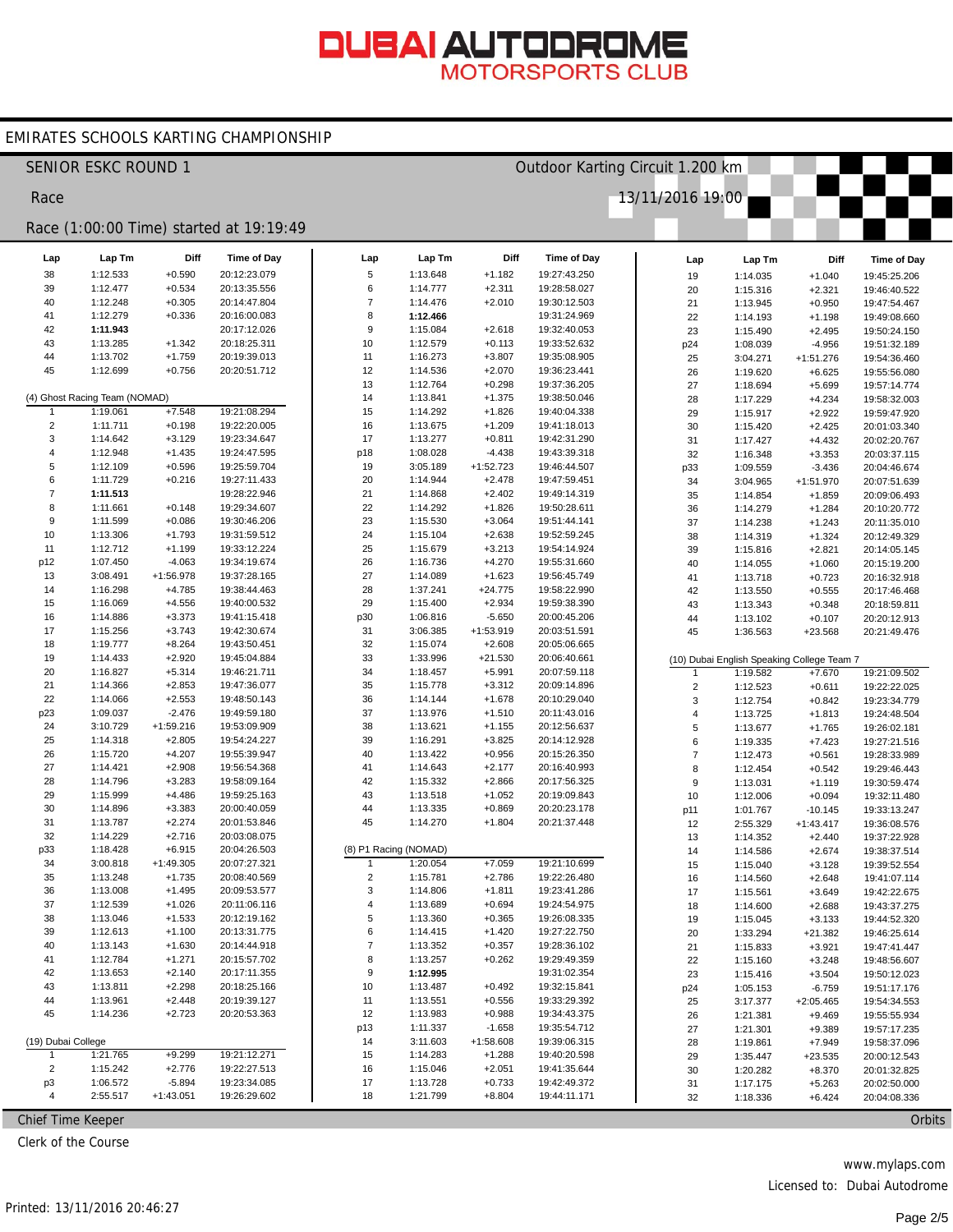#### EMIRATES SCHOOLS KARTING CHAMPIONSHIP

|                    | <b>SENIOR ESKC ROUND 1</b>    |                       |                                         |                  |                       |                       | Outdoor Karting Circuit 1.200 km |                  |                                                        |                      |               |
|--------------------|-------------------------------|-----------------------|-----------------------------------------|------------------|-----------------------|-----------------------|----------------------------------|------------------|--------------------------------------------------------|----------------------|---------------|
| Race               |                               |                       |                                         |                  |                       |                       |                                  | 13/11/2016 19:00 |                                                        |                      |               |
|                    |                               |                       | Race (1:00:00 Time) started at 19:19:49 |                  |                       |                       |                                  |                  |                                                        |                      |               |
| Lap                | Lap Tm                        | Diff                  | Time of Day                             | Lap              | Lap Tm                | Diff                  | <b>Time of Day</b>               | Lap              | Lap Tm                                                 | Diff                 | Time of Day   |
| 38                 | 1:12.533                      | $+0.590$              | 20:12:23.079                            | 5                | 1:13.648              | $+1.182$              | 19:27:43.250                     | 19               | 1:14.035                                               | $+1.040$             | 19:45:25.206  |
| 39                 | 1:12.477                      | $+0.534$              | 20:13:35.556                            | 6                | 1:14.777              | $+2.311$              | 19:28:58.027                     | 20               | 1:15.316                                               | $+2.321$             | 19:46:40.522  |
| 40                 | 1:12.248                      | $+0.305$              | 20:14:47.804                            | $\overline{7}$   | 1:14.476              | $+2.010$              | 19:30:12.503                     | 21               | 1:13.945                                               | $+0.950$             | 19:47:54.467  |
| 41                 | 1:12.279                      | $+0.336$              | 20:16:00.083                            | 8                | 1:12.466              |                       | 19:31:24.969                     | 22               | 1:14.193                                               | $+1.198$             | 19:49:08.660  |
| 42                 | 1:11.943                      |                       | 20:17:12.026                            | $\boldsymbol{9}$ | 1:15.084              | $+2.618$              | 19:32:40.053                     | 23               | 1:15.490                                               | $+2.495$             | 19:50:24.150  |
| 43                 | 1:13.285                      | $+1.342$              | 20:18:25.311                            | 10               | 1:12.579              | $+0.113$              | 19:33:52.632                     | p24              | 1:08.039                                               | $-4.956$             | 19:51:32.189  |
| 44                 | 1:13.702                      | $+1.759$              | 20:19:39.013                            | 11               | 1:16.273              | $+3.807$              | 19:35:08.905                     | 25               | 3:04.271                                               | $+1:51.276$          | 19:54:36.460  |
| 45                 | 1:12.699                      | $+0.756$              | 20:20:51.712                            | 12               | 1:14.536              | $+2.070$              | 19:36:23.441                     | 26               | 1:19.620                                               | $+6.625$             | 19:55:56.080  |
|                    |                               |                       |                                         | 13               | 1:12.764              | $+0.298$              | 19:37:36.205                     | 27               | 1:18.694                                               | $+5.699$             | 19:57:14.774  |
|                    | (4) Ghost Racing Team (NOMAD) |                       |                                         | 14               | 1:13.841              | $+1.375$              | 19:38:50.046                     | 28               | 1:17.229                                               | $+4.234$             | 19:58:32.003  |
| $\mathbf{1}$       | 1:19.061                      | $+7.548$              | 19:21:08.294                            | 15               | 1:14.292              | $+1.826$              | 19:40:04.338                     | 29               | 1:15.917                                               | $+2.922$             | 19:59:47.920  |
| $\overline{2}$     | 1:11.711                      | $+0.198$              | 19:22:20.005                            | 16               | 1:13.675              | $+1.209$              | 19:41:18.013                     | 30               | 1:15.420                                               | $+2.425$             | 20:01:03.340  |
| 3                  | 1:14.642                      | $+3.129$              | 19:23:34.647                            | 17               | 1:13.277              | $+0.811$              | 19:42:31.290                     | 31               | 1:17.427                                               | $+4.432$             | 20:02:20.767  |
| 4                  | 1:12.948                      | $+1.435$              | 19:24:47.595                            | p18              | 1:08.028              | $-4.438$              | 19:43:39.318                     | 32               | 1:16.348                                               | $+3.353$             | 20:03:37.115  |
| 5                  | 1:12.109                      | $+0.596$              | 19:25:59.704                            | 19               | 3:05.189              | $+1:52.723$           | 19:46:44.507                     | p33              | 1:09.559                                               | $-3.436$             | 20:04:46.674  |
| 6                  | 1:11.729                      | $+0.216$              | 19:27:11.433                            | 20               | 1:14.944              | $+2.478$              | 19:47:59.451                     | 34               | 3:04.965                                               | $+1:51.970$          | 20:07:51.639  |
| $\overline{7}$     | 1:11.513                      |                       | 19:28:22.946                            | 21               | 1:14.868              | $+2.402$              | 19:49:14.319                     | 35               | 1:14.854                                               | $+1.859$             | 20:09:06.493  |
| 8                  | 1:11.661                      | $+0.148$              | 19:29:34.607                            | 22               | 1:14.292              | $+1.826$              | 19:50:28.611                     | 36               | 1:14.279                                               | $+1.284$             | 20:10:20.772  |
| 9                  | 1:11.599                      | $+0.086$              | 19:30:46.206                            | 23               | 1:15.530              | $+3.064$              | 19:51:44.141                     | 37               | 1:14.238                                               | $+1.243$             | 20:11:35.010  |
| 10                 | 1:13.306                      | $+1.793$              | 19:31:59.512                            | 24               | 1:15.104              | $+2.638$              | 19:52:59.245                     | 38               | 1:14.319                                               | $+1.324$             | 20:12:49.329  |
| 11                 | 1:12.712                      | $+1.199$              | 19:33:12.224                            | 25               | 1:15.679              | $+3.213$              | 19:54:14.924                     | 39               | 1:15.816                                               | $+2.821$             | 20:14:05.145  |
| p12<br>13          | 1:07.450<br>3:08.491          | $-4.063$<br>+1:56.978 | 19:34:19.674<br>19:37:28.165            | 26               | 1:16.736<br>1:14.089  | $+4.270$              | 19:55:31.660<br>19:56:45.749     | 40               | 1:14.055                                               | $+1.060$             | 20:15:19.200  |
|                    |                               |                       |                                         | 27               |                       | $+1.623$              |                                  | 41               | 1:13.718                                               | $+0.723$             | 20:16:32.918  |
| 14<br>15           | 1:16.298<br>1:16.069          | $+4.785$<br>$+4.556$  | 19:38:44.463<br>19:40:00.532            | 28<br>29         | 1:37.241<br>1:15.400  | $+24.775$<br>$+2.934$ | 19:58:22.990<br>19:59:38.390     | 42               | 1:13.550                                               | $+0.555$             | 20:17:46.468  |
| 16                 | 1:14.886                      | $+3.373$              | 19:41:15.418                            |                  | 1:06.816              | $-5.650$              | 20:00:45.206                     | 43               | 1:13.343                                               | $+0.348$             | 20:18:59.811  |
| 17                 | 1:15.256                      | $+3.743$              | 19:42:30.674                            | p30<br>31        | 3:06.385              | $+1:53.919$           | 20:03:51.591                     | 44               | 1:13.102                                               | $+0.107$             | 20:20:12.913  |
| 18                 | 1:19.777                      | $+8.264$              | 19:43:50.451                            | 32               | 1:15.074              | $+2.608$              | 20:05:06.665                     | 45               | 1:36.563                                               | $+23.568$            | 20:21:49.476  |
| 19                 | 1:14.433                      | $+2.920$              | 19:45:04.884                            | 33               | 1:33.996              | $+21.530$             | 20:06:40.661                     |                  |                                                        |                      |               |
| 20                 | 1:16.827                      | $+5.314$              | 19:46:21.711                            | 34               | 1:18.457              | $+5.991$              | 20:07:59.118                     | 1                | (10) Dubai English Speaking College Team 7<br>1:19.582 | $+7.670$             | 19:21:09.502  |
| 21                 | 1:14.366                      | $+2.853$              | 19:47:36.077                            | 35               | 1:15.778              | $+3.312$              | 20:09:14.896                     | $\mathbf 2$      |                                                        |                      | 19:22:22.025  |
| 22                 | 1:14.066                      | $+2.553$              | 19:48:50.143                            | 36               | 1:14.144              | $+1.678$              | 20:10:29.040                     | 3                | 1:12.523<br>1:12.754                                   | $+0.611$<br>$+0.842$ | 19:23:34.779  |
| p23                | 1:09.037                      | $-2.476$              | 19:49:59.180                            | 37               | 1:13.976              | $+1.510$              | 20:11:43.016                     | 4                | 1:13.725                                               | $+1.813$             | 19:24:48.504  |
| 24                 | 3:10.729                      | $+1:59.216$           | 19:53:09.909                            | 38               | 1:13.621              | $+1.155$              | 20:12:56.637                     | 5                | 1:13.677                                               | $+1.765$             | 19:26:02.181  |
| 25                 | 1:14.318                      | $+2.805$              | 19:54:24.227                            | 39               | 1:16.291              | $+3.825$              | 20:14:12.928                     | 6                | 1:19.335                                               | $+7.423$             | 19:27:21.516  |
| 26                 | 1:15.720                      | $+4.207$              | 19:55:39.947                            | 40               | 1:13.422              | $+0.956$              | 20:15:26.350                     | $\overline{7}$   | 1:12.473                                               | $+0.561$             | 19:28:33.989  |
| 27                 | 1:14.421                      | $+2.908$              | 19:56:54.368                            | 41               | 1:14.643              | $+2.177$              | 20:16:40.993                     | 8                | 1:12.454                                               | $+0.542$             | 19:29:46.443  |
| 28                 | 1:14.796                      | $+3.283$              | 19:58:09.164                            | 42               | 1:15.332              | $+2.866$              | 20:17:56.325                     | $\boldsymbol{9}$ | 1:13.031                                               | $+1.119$             | 19:30:59.474  |
| 29                 | 1:15.999                      | $+4.486$              | 19:59:25.163                            | 43               | 1:13.518              | $+1.052$              | 20:19:09.843                     | 10               | 1:12.006                                               | $+0.094$             | 19:32:11.480  |
| 30                 | 1:14.896                      | $+3.383$              | 20:00:40.059                            | 44               | 1:13.335              | $+0.869$              | 20:20:23.178                     | p11              | 1:01.767                                               | $-10.145$            | 19:33:13.247  |
| 31                 | 1:13.787                      | $+2.274$              | 20:01:53.846                            | 45               | 1:14.270              | $+1.804$              | 20:21:37.448                     | 12               | 2:55.329                                               | $+1:43.417$          | 19:36:08.576  |
| 32                 | 1:14.229                      | $+2.716$              | 20:03:08.075                            |                  |                       |                       |                                  | 13               | 1:14.352                                               | $+2.440$             | 19:37:22.928  |
| p33                | 1:18.428                      | $+6.915$              | 20:04:26.503                            |                  | (8) P1 Racing (NOMAD) |                       |                                  | 14               | 1:14.586                                               | $+2.674$             | 19:38:37.514  |
| 34                 | 3:00.818                      | $+1:49.305$           | 20:07:27.321                            |                  | 1:20.054              | $+7.059$              | 19:21:10.699                     | 15               | 1:15.040                                               | $+3.128$             | 19:39:52.554  |
| 35                 | 1:13.248                      | $+1.735$              | 20:08:40.569                            | $\overline{2}$   | 1:15.781              | $+2.786$              | 19:22:26.480                     | 16               | 1:14.560                                               | $+2.648$             | 19:41:07.114  |
| 36                 | 1:13.008                      | $+1.495$              | 20:09:53.577                            | 3                | 1:14.806              | $+1.811$              | 19:23:41.286                     | 17               | 1:15.561                                               | $+3.649$             | 19:42:22.675  |
| 37                 | 1:12.539                      | $+1.026$              | 20:11:06.116                            | 4                | 1:13.689              | $+0.694$              | 19:24:54.975                     | 18               | 1:14.600                                               | $+2.688$             | 19:43:37.275  |
| 38                 | 1:13.046                      | $+1.533$              | 20:12:19.162                            | 5                | 1:13.360              | $+0.365$              | 19:26:08.335                     | 19               | 1:15.045                                               | $+3.133$             | 19:44:52.320  |
| 39                 | 1:12.613                      | $+1.100$              | 20:13:31.775                            | 6                | 1:14.415              | $+1.420$              | 19:27:22.750                     | 20               | 1:33.294                                               | $+21.382$            | 19:46:25.614  |
| 40                 | 1:13.143                      | $+1.630$              | 20:14:44.918                            | $\overline{7}$   | 1:13.352              | $+0.357$              | 19:28:36.102                     | 21               | 1:15.833                                               | $+3.921$             | 19:47:41.447  |
| 41                 | 1:12.784                      | $+1.271$              | 20:15:57.702                            | 8                | 1:13.257              | $+0.262$              | 19:29:49.359                     | 22               | 1:15.160                                               | $+3.248$             | 19:48:56.607  |
| 42                 | 1:13.653                      | $+2.140$              | 20:17:11.355                            | 9                | 1:12.995              |                       | 19:31:02.354                     | 23               | 1:15.416                                               | $+3.504$             | 19:50:12.023  |
| 43                 | 1:13.811                      | $+2.298$              | 20:18:25.166                            | 10               | 1:13.487              | $+0.492$              | 19:32:15.841                     | p24              | 1:05.153                                               | $-6.759$             | 19:51:17.176  |
| 44                 | 1:13.961                      | $+2.448$              | 20:19:39.127                            | 11               | 1:13.551              | $+0.556$              | 19:33:29.392                     | 25               | 3:17.377                                               | $+2:05.465$          | 19:54:34.553  |
| 45                 | 1:14.236                      | $+2.723$              | 20:20:53.363                            | 12               | 1:13.983              | $+0.988$              | 19:34:43.375                     | 26               | 1:21.381                                               | $+9.469$             | 19:55:55.934  |
|                    |                               |                       |                                         | p13              | 1:11.337              | $-1.658$              | 19:35:54.712                     | 27               | 1:21.301                                               | $+9.389$             | 19:57:17.235  |
| (19) Dubai College |                               |                       |                                         | 14               | 3:11.603              | $+1:58.608$           | 19:39:06.315                     | 28               | 1:19.861                                               | $+7.949$             | 19:58:37.096  |
| $\overline{1}$     | 1:21.765                      | $+9.299$              | 19:21:12.271                            | 15               | 1:14.283              | $+1.288$              | 19:40:20.598                     | 29               | 1:35.447                                               | $+23.535$            | 20:00:12.543  |
| $\overline{2}$     | 1:15.242                      | $+2.776$              | 19:22:27.513                            | 16               | 1:15.046              | $+2.051$              | 19:41:35.644                     | 30               | 1:20.282                                               | $+8.370$             | 20:01:32.825  |
| p3                 | 1:06.572                      | $-5.894$              | 19:23:34.085                            | 17               | 1:13.728              | $+0.733$              | 19:42:49.372                     | 31               | 1:17.175                                               | $+5.263$             | 20:02:50.000  |
| $\overline{4}$     | 2:55.517                      | $+1:43.051$           | 19:26:29.602                            | 18               | 1:21.799              | $+8.804$              | 19:44:11.171                     | 32               | 1:18.336                                               | $+6.424$             | 20:04:08.336  |
| Chief Time Keeper  |                               |                       |                                         |                  |                       |                       |                                  |                  |                                                        |                      | <b>Orbits</b> |

Chief Time Keeper

Clerk of the Course

www.mylaps.com

Licensed to: Dubai Autodrome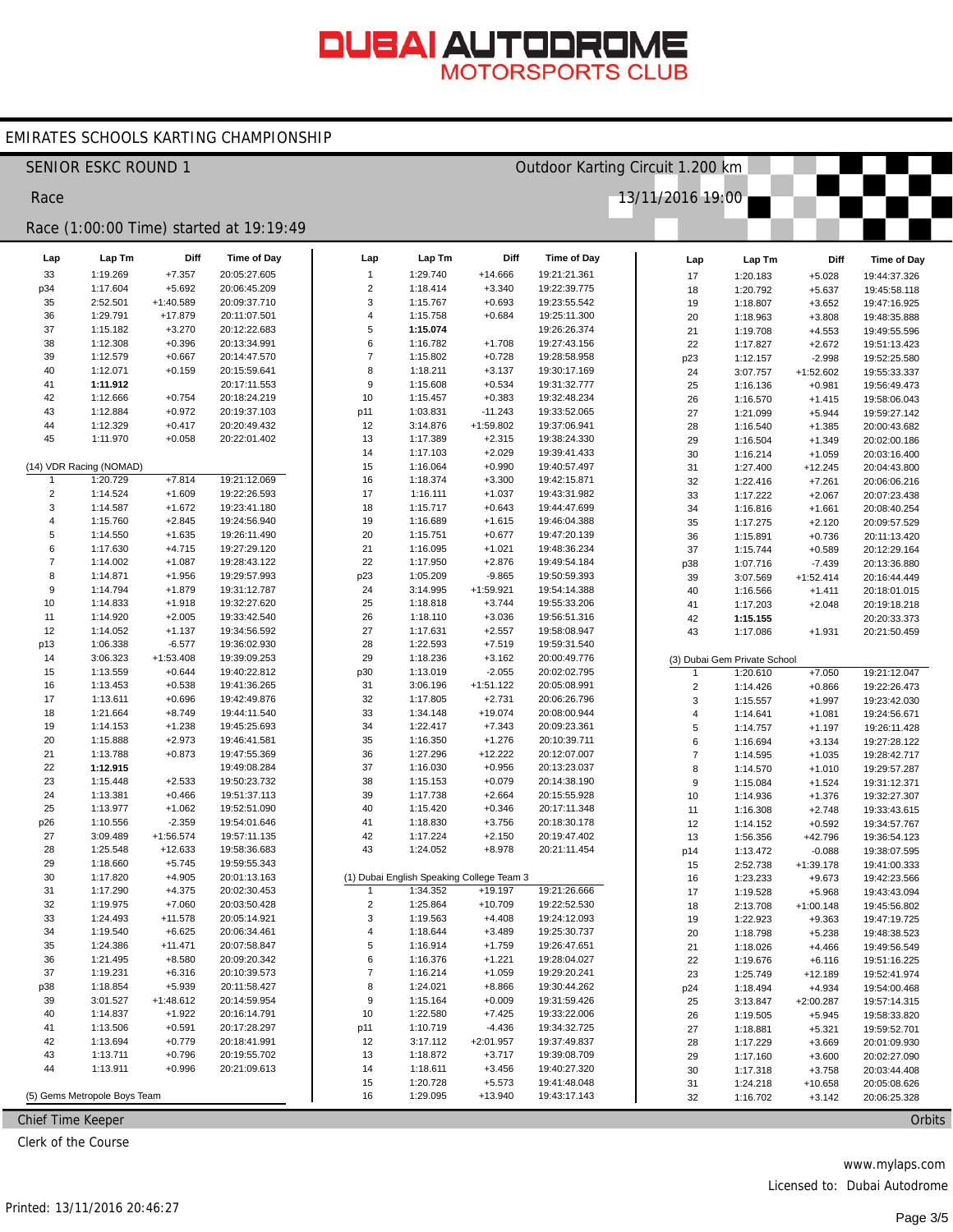#### EMIRATES SCHOOLS KARTING CHAMPIONSHIP

| Outdoor Karting Circuit 1.200 km<br><b>SENIOR ESKC ROUND 1</b> |                                         |             |              |                |                      |                                           |                              |  |                         |                              |             |                              |  |
|----------------------------------------------------------------|-----------------------------------------|-------------|--------------|----------------|----------------------|-------------------------------------------|------------------------------|--|-------------------------|------------------------------|-------------|------------------------------|--|
| Race                                                           |                                         |             |              |                |                      |                                           |                              |  | 13/11/2016 19:00        |                              |             |                              |  |
|                                                                | Race (1:00:00 Time) started at 19:19:49 |             |              |                |                      |                                           |                              |  |                         |                              |             |                              |  |
| Lap                                                            | Lap Tm                                  | Diff        | Time of Day  | Lap            | Lap Tm               | Diff                                      | Time of Day                  |  | Lap                     | Lap Tm                       | Diff        | Time of Day                  |  |
| 33                                                             | 1:19.269                                | $+7.357$    | 20:05:27.605 | $\mathbf{1}$   | 1:29.740             | +14.666                                   | 19:21:21.361                 |  | 17                      | 1:20.183                     | $+5.028$    | 19:44:37.326                 |  |
| p34                                                            | 1:17.604                                | $+5.692$    | 20:06:45.209 | 2              | 1:18.414             | $+3.340$                                  | 19:22:39.775                 |  | 18                      | 1:20.792                     | $+5.637$    | 19:45:58.118                 |  |
| 35                                                             | 2:52.501                                | $+1:40.589$ | 20:09:37.710 | 3              | 1:15.767             | $+0.693$                                  | 19:23:55.542                 |  | 19                      | 1:18.807                     | $+3.652$    | 19:47:16.925                 |  |
| 36                                                             | 1:29.791                                | +17.879     | 20:11:07.501 | 4              | 1:15.758             | $+0.684$                                  | 19:25:11.300                 |  | 20                      | 1:18.963                     | $+3.808$    | 19:48:35.888                 |  |
| 37                                                             | 1:15.182                                | $+3.270$    | 20:12:22.683 | 5              | 1:15.074             |                                           | 19:26:26.374                 |  | 21                      | 1:19.708                     | $+4.553$    | 19:49:55.596                 |  |
| 38                                                             | 1:12.308                                | $+0.396$    | 20:13:34.991 | 6              | 1:16.782             | $+1.708$                                  | 19:27:43.156                 |  | 22                      | 1:17.827                     | $+2.672$    | 19:51:13.423                 |  |
| 39                                                             | 1:12.579                                | $+0.667$    | 20:14:47.570 | $\overline{7}$ | 1:15.802             | $+0.728$                                  | 19:28:58.958                 |  | p23                     | 1:12.157                     | $-2.998$    | 19:52:25.580                 |  |
| 40                                                             | 1:12.071                                | $+0.159$    | 20:15:59.641 | 8              | 1:18.211             | $+3.137$                                  | 19:30:17.169                 |  | 24                      | 3:07.757                     | $+1:52.602$ | 19:55:33.337                 |  |
| 41                                                             | 1:11.912                                |             | 20:17:11.553 | 9              | 1:15.608             | $+0.534$                                  | 19:31:32.777                 |  | 25                      | 1:16.136                     | $+0.981$    | 19:56:49.473                 |  |
| 42                                                             | 1:12.666                                | $+0.754$    | 20:18:24.219 | 10             | 1:15.457             | $+0.383$                                  | 19:32:48.234                 |  | 26                      | 1:16.570                     | $+1.415$    | 19:58:06.043                 |  |
| 43                                                             | 1:12.884                                | $+0.972$    | 20:19:37.103 | p11            | 1:03.831             | $-11.243$                                 | 19:33:52.065                 |  | 27                      | 1:21.099                     | $+5.944$    | 19:59:27.142                 |  |
| 44                                                             | 1:12.329                                | $+0.417$    | 20:20:49.432 | 12             | 3:14.876             | $+1:59.802$                               | 19:37:06.941                 |  | 28                      | 1:16.540                     | $+1.385$    | 20:00:43.682                 |  |
| 45                                                             | 1:11.970                                | $+0.058$    | 20:22:01.402 | 13             | 1:17.389             | $+2.315$                                  | 19:38:24.330                 |  | 29                      | 1:16.504                     | $+1.349$    | 20:02:00.186                 |  |
|                                                                |                                         |             |              | 14             | 1:17.103             | $+2.029$                                  | 19:39:41.433                 |  | 30                      | 1:16.214                     | $+1.059$    | 20:03:16.400                 |  |
| -1                                                             | (14) VDR Racing (NOMAD)<br>1:20.729     | $+7.814$    | 19:21:12.069 | 15<br>16       | 1:16.064<br>1:18.374 | $+0.990$<br>$+3.300$                      | 19:40:57.497<br>19:42:15.871 |  | 31                      | 1:27.400                     | $+12.245$   | 20:04:43.800                 |  |
| $\overline{2}$                                                 | 1:14.524                                | $+1.609$    | 19:22:26.593 | 17             | 1:16.111             |                                           | 19:43:31.982                 |  | 32                      | 1:22.416                     | $+7.261$    | 20:06:06.216                 |  |
| 3                                                              | 1:14.587                                | $+1.672$    | 19:23:41.180 | 18             | 1:15.717             | $+1.037$<br>$+0.643$                      | 19:44:47.699                 |  | 33                      | 1:17.222                     | $+2.067$    | 20:07:23.438<br>20:08:40.254 |  |
| 4                                                              | 1:15.760                                | $+2.845$    | 19:24:56.940 | 19             | 1:16.689             | $+1.615$                                  | 19:46:04.388                 |  | 34                      | 1:16.816                     | $+1.661$    |                              |  |
| 5                                                              | 1:14.550                                | $+1.635$    | 19:26:11.490 | 20             | 1:15.751             | $+0.677$                                  | 19:47:20.139                 |  | 35                      | 1:17.275                     | $+2.120$    | 20:09:57.529                 |  |
| 6                                                              | 1:17.630                                | $+4.715$    | 19:27:29.120 | 21             | 1:16.095             | $+1.021$                                  | 19:48:36.234                 |  | 36                      | 1:15.891                     | $+0.736$    | 20:11:13.420                 |  |
| $\overline{7}$                                                 | 1:14.002                                | $+1.087$    | 19:28:43.122 | 22             | 1:17.950             | $+2.876$                                  | 19:49:54.184                 |  | 37                      | 1:15.744                     | $+0.589$    | 20:12:29.164                 |  |
| 8                                                              | 1:14.871                                | $+1.956$    | 19:29:57.993 | p23            | 1:05.209             | $-9.865$                                  | 19:50:59.393                 |  | p38                     | 1:07.716                     | $-7.439$    | 20:13:36.880                 |  |
| $\boldsymbol{9}$                                               | 1:14.794                                | $+1.879$    | 19:31:12.787 | 24             | 3:14.995             | $+1:59.921$                               | 19:54:14.388                 |  | 39<br>40                | 3:07.569<br>1:16.566         | $+1:52.414$ | 20:16:44.449<br>20:18:01.015 |  |
| 10                                                             | 1:14.833                                | $+1.918$    | 19:32:27.620 | 25             | 1:18.818             | $+3.744$                                  | 19:55:33.206                 |  |                         |                              | $+1.411$    |                              |  |
| 11                                                             | 1:14.920                                | $+2.005$    | 19:33:42.540 | 26             | 1:18.110             | $+3.036$                                  | 19:56:51.316                 |  | 41<br>42                | 1:17.203                     | $+2.048$    | 20:19:18.218<br>20:20:33.373 |  |
| 12                                                             | 1:14.052                                | $+1.137$    | 19:34:56.592 | 27             | 1:17.631             | $+2.557$                                  | 19:58:08.947                 |  | 43                      | 1:15.155<br>1:17.086         | $+1.931$    | 20:21:50.459                 |  |
| p13                                                            | 1:06.338                                | $-6.577$    | 19:36:02.930 | 28             | 1:22.593             | $+7.519$                                  | 19:59:31.540                 |  |                         |                              |             |                              |  |
| 14                                                             | 3:06.323                                | $+1:53.408$ | 19:39:09.253 | 29             | 1:18.236             | $+3.162$                                  | 20:00:49.776                 |  |                         | (3) Dubai Gem Private School |             |                              |  |
| 15                                                             | 1:13.559                                | $+0.644$    | 19:40:22.812 | p30            | 1:13.019             | $-2.055$                                  | 20:02:02.795                 |  | 1                       | 1:20.610                     | $+7.050$    | 19:21:12.047                 |  |
| 16                                                             | 1:13.453                                | $+0.538$    | 19:41:36.265 | 31             | 3:06.196             | $+1:51.122$                               | 20:05:08.991                 |  | $\mathbf 2$             | 1:14.426                     | $+0.866$    | 19:22:26.473                 |  |
| 17                                                             | 1:13.611                                | $+0.696$    | 19:42:49.876 | 32             | 1:17.805             | $+2.731$                                  | 20:06:26.796                 |  | 3                       | 1:15.557                     | $+1.997$    | 19:23:42.030                 |  |
| 18                                                             | 1:21.664                                | $+8.749$    | 19:44:11.540 | 33             | 1:34.148             | $+19.074$                                 | 20:08:00.944                 |  | 4                       | 1:14.641                     | $+1.081$    | 19:24:56.671                 |  |
| 19                                                             | 1:14.153                                | $+1.238$    | 19:45:25.693 | 34             | 1:22.417             | $+7.343$                                  | 20:09:23.361                 |  | 5                       | 1:14.757                     | $+1.197$    | 19:26:11.428                 |  |
| 20                                                             | 1:15.888                                | $+2.973$    | 19:46:41.581 | 35             | 1:16.350             | $+1.276$                                  | 20:10:39.711                 |  | 6                       | 1:16.694                     | $+3.134$    | 19:27:28.122                 |  |
| 21                                                             | 1:13.788                                | $+0.873$    | 19:47:55.369 | 36             | 1:27.296             | $+12.222$                                 | 20:12:07.007                 |  | $\overline{\mathbf{7}}$ | 1:14.595                     | $+1.035$    | 19:28:42.717                 |  |
| 22                                                             | 1:12.915                                |             | 19:49:08.284 | 37             | 1:16.030             | $+0.956$                                  | 20:13:23.037                 |  | 8                       | 1:14.570                     | $+1.010$    | 19:29:57.287                 |  |
| 23                                                             | 1:15.448                                | $+2.533$    | 19:50:23.732 | 38             | 1:15.153             | $+0.079$                                  | 20:14:38.190                 |  | 9                       | 1:15.084                     | $+1.524$    | 19:31:12.371                 |  |
| 24                                                             | 1:13.381                                | $+0.466$    | 19:51:37.113 | 39             | 1:17.738             | $+2.664$                                  | 20:15:55.928                 |  | 10                      | 1:14.936                     | $+1.376$    | 19:32:27.307                 |  |
| 25                                                             | 1:13.977                                | $+1.062$    | 19:52:51.090 | 40             | 1:15.420             | $+0.346$                                  | 20:17:11.348                 |  | 11                      | 1:16.308                     | $+2.748$    | 19:33:43.615                 |  |
| p26                                                            | 1:10.556                                | $-2.359$    | 19:54:01.646 | 41             | 1:18.830             | $+3.756$                                  | 20:18:30.178                 |  | 12                      | 1:14.152                     | $+0.592$    | 19:34:57.767                 |  |
| 27                                                             | 3:09.489                                | $+1:56.574$ | 19:57:11.135 | 42             | 1:17.224             | $+2.150$                                  | 20:19:47.402                 |  | 13                      | 1:56.356                     | $+42.796$   | 19:36:54.123                 |  |
| 28                                                             | 1:25.548                                | +12.633     | 19:58:36.683 | 43             | 1:24.052             | $+8.978$                                  | 20:21:11.454                 |  | p14                     | 1:13.472                     | $-0.088$    | 19:38:07.595                 |  |
| 29                                                             | 1:18.660                                | $+5.745$    | 19:59:55.343 |                |                      |                                           |                              |  | 15                      | 2:52.738                     | $+1:39.178$ | 19:41:00.333                 |  |
| 30                                                             | 1:17.820                                | $+4.905$    | 20:01:13.163 |                |                      | (1) Dubai English Speaking College Team 3 |                              |  | 16                      | 1:23.233                     | $+9.673$    | 19:42:23.566                 |  |
| 31                                                             | 1:17.290                                | $+4.375$    | 20:02:30.453 |                | 1:34.352             | $+19.197$                                 | 19:21:26.666                 |  | 17                      | 1:19.528                     | $+5.968$    | 19:43:43.094                 |  |
| 32                                                             | 1:19.975                                | $+7.060$    | 20:03:50.428 | $\overline{2}$ | 1:25.864             | $+10.709$                                 | 19:22:52.530                 |  | 18                      | 2:13.708                     | $+1:00.148$ | 19:45:56.802                 |  |
| 33                                                             | 1:24.493                                | $+11.578$   | 20:05:14.921 | 3              | 1:19.563             | $+4.408$                                  | 19:24:12.093                 |  | 19                      | 1:22.923                     | $+9.363$    | 19:47:19.725                 |  |
| 34                                                             | 1:19.540                                | $+6.625$    | 20:06:34.461 | 4              | 1:18.644             | $+3.489$                                  | 19:25:30.737                 |  | 20                      | 1:18.798                     | $+5.238$    | 19:48:38.523                 |  |
| 35                                                             | 1:24.386                                | $+11.471$   | 20:07:58.847 | $\,$ 5 $\,$    | 1:16.914             | $+1.759$                                  | 19:26:47.651                 |  | 21                      | 1:18.026                     | $+4.466$    | 19:49:56.549                 |  |
| 36                                                             | 1:21.495                                | $+8.580$    | 20:09:20.342 | 6              | 1:16.376             | $+1.221$                                  | 19:28:04.027                 |  | 22                      | 1:19.676                     | $+6.116$    | 19:51:16.225                 |  |
| 37                                                             | 1:19.231                                | $+6.316$    | 20:10:39.573 | $\overline{7}$ | 1:16.214             | $+1.059$                                  | 19:29:20.241                 |  | 23                      | 1:25.749                     | $+12.189$   | 19:52:41.974                 |  |
| p38                                                            | 1:18.854                                | $+5.939$    | 20:11:58.427 | 8              | 1:24.021             | $+8.866$                                  | 19:30:44.262                 |  | p24                     | 1:18.494                     | $+4.934$    | 19:54:00.468                 |  |
| 39                                                             | 3:01.527                                | $+1:48.612$ | 20:14:59.954 | 9              | 1:15.164             | $+0.009$                                  | 19:31:59.426                 |  | 25                      | 3:13.847                     | $+2:00.287$ | 19:57:14.315                 |  |
| 40                                                             | 1:14.837                                | $+1.922$    | 20:16:14.791 | 10             | 1:22.580             | $+7.425$                                  | 19:33:22.006                 |  | 26                      | 1:19.505                     | $+5.945$    | 19:58:33.820                 |  |
| 41                                                             | 1:13.506                                | $+0.591$    | 20:17:28.297 | p11            | 1:10.719             | $-4.436$                                  | 19:34:32.725                 |  | 27                      | 1:18.881                     | $+5.321$    | 19:59:52.701                 |  |
| 42                                                             | 1:13.694                                | $+0.779$    | 20:18:41.991 | 12             | 3:17.112             | $+2:01.957$                               | 19:37:49.837                 |  | 28                      | 1:17.229                     | $+3.669$    | 20:01:09.930                 |  |
| 43                                                             | 1:13.711                                | $+0.796$    | 20:19:55.702 | 13             | 1:18.872             | $+3.717$                                  | 19:39:08.709                 |  | 29                      | 1:17.160                     | $+3.600$    | 20:02:27.090                 |  |
| 44                                                             | 1:13.911                                | $+0.996$    | 20:21:09.613 | 14             | 1:18.611             | $+3.456$                                  | 19:40:27.320                 |  | 30                      | 1:17.318                     | $+3.758$    | 20:03:44.408                 |  |
|                                                                |                                         |             |              | 15             | 1:20.728             | $+5.573$                                  | 19:41:48.048                 |  | 31                      | 1:24.218                     | $+10.658$   | 20:05:08.626                 |  |
|                                                                | (5) Gems Metropole Boys Team            |             |              | 16             | 1:29.095             | $+13.940$                                 | 19:43:17.143                 |  | 32                      | 1:16.702                     | $+3.142$    | 20:06:25.328                 |  |
| Chief Time Keeper                                              |                                         |             |              |                |                      |                                           |                              |  |                         |                              |             | Orbits                       |  |

Clerk of the Course

www.mylaps.com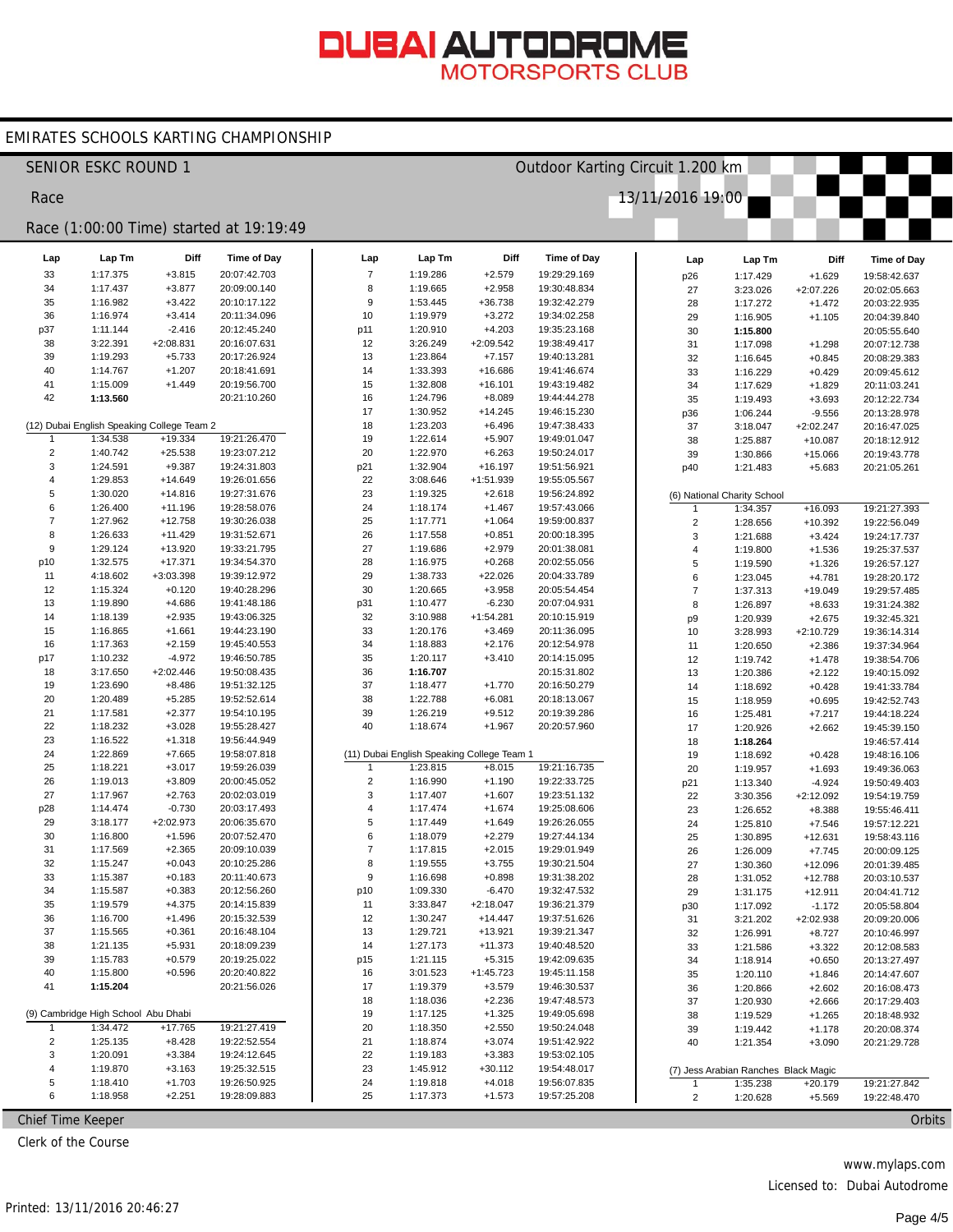#### EMIRATES SCHOOLS KARTING CHAMPIONSHIP

|                | <b>SENIOR ESKC ROUND 1</b>                 |                        |                                         |                        |                                            |                       | Outdoor Karting Circuit 1.200 km |                  |                                      |                      |                              |
|----------------|--------------------------------------------|------------------------|-----------------------------------------|------------------------|--------------------------------------------|-----------------------|----------------------------------|------------------|--------------------------------------|----------------------|------------------------------|
| Race           |                                            |                        |                                         |                        |                                            |                       |                                  | 13/11/2016 19:00 |                                      |                      |                              |
|                |                                            |                        | Race (1:00:00 Time) started at 19:19:49 |                        |                                            |                       |                                  |                  |                                      |                      |                              |
|                |                                            |                        |                                         |                        |                                            |                       |                                  |                  |                                      |                      |                              |
| Lap            | Lap Tm                                     | Diff                   | Time of Day                             | Lap                    | Lap Tm                                     | Diff                  | <b>Time of Day</b>               | Lap              | Lap Tm                               | Diff                 | Time of Day                  |
| 33             | 1:17.375                                   | $+3.815$               | 20:07:42.703                            | $\overline{7}$         | 1:19.286                                   | $+2.579$              | 19:29:29.169                     | p26              | 1:17.429                             | $+1.629$             | 19:58:42.637                 |
| 34             | 1:17.437                                   | $+3.877$               | 20:09:00.140                            | 8                      | 1:19.665                                   | $+2.958$              | 19:30:48.834                     | 27               | 3:23.026                             | +2:07.226            | 20:02:05.663                 |
| 35<br>36       | 1:16.982<br>1:16.974                       | $+3.422$<br>$+3.414$   | 20:10:17.122<br>20:11:34.096            | $\boldsymbol{9}$<br>10 | 1:53.445<br>1:19.979                       | +36.738<br>$+3.272$   | 19:32:42.279<br>19:34:02.258     | 28               | 1:17.272                             | $+1.472$             | 20:03:22.935                 |
| p37            | 1:11.144                                   | $-2.416$               | 20:12:45.240                            | p11                    | 1:20.910                                   | $+4.203$              | 19:35:23.168                     | 29<br>30         | 1:16.905                             | $+1.105$             | 20:04:39.840<br>20:05:55.640 |
| 38             | 3:22.391                                   | $+2:08.831$            | 20:16:07.631                            | 12                     | 3:26.249                                   | $+2:09.542$           | 19:38:49.417                     | 31               | 1:15.800<br>1:17.098                 | $+1.298$             | 20:07:12.738                 |
| 39             | 1:19.293                                   | $+5.733$               | 20:17:26.924                            | 13                     | 1:23.864                                   | $+7.157$              | 19:40:13.281                     | 32               | 1:16.645                             | $+0.845$             | 20:08:29.383                 |
| 40             | 1:14.767                                   | $+1.207$               | 20:18:41.691                            | 14                     | 1:33.393                                   | +16.686               | 19:41:46.674                     | 33               | 1:16.229                             | $+0.429$             | 20:09:45.612                 |
| 41             | 1:15.009                                   | $+1.449$               | 20:19:56.700                            | 15                     | 1:32.808                                   | $+16.101$             | 19:43:19.482                     | 34               | 1:17.629                             | $+1.829$             | 20:11:03.241                 |
| 42             | 1:13.560                                   |                        | 20:21:10.260                            | 16                     | 1:24.796                                   | $+8.089$              | 19:44:44.278                     | 35               | 1:19.493                             | $+3.693$             | 20:12:22.734                 |
|                |                                            |                        |                                         | 17                     | 1:30.952                                   | $+14.245$             | 19:46:15.230                     | p36              | 1:06.244                             | $-9.556$             | 20:13:28.978                 |
|                | (12) Dubai English Speaking College Team 2 |                        |                                         | 18                     | 1:23.203                                   | $+6.496$              | 19:47:38.433                     | 37               | 3:18.047                             | $+2:02.247$          | 20:16:47.025                 |
| $\mathbf{1}$   | 1:34.538                                   | $+19.334$              | 19:21:26.470                            | 19                     | 1:22.614                                   | $+5.907$              | 19:49:01.047                     | 38               | 1:25.887                             | $+10.087$            | 20:18:12.912                 |
| $\overline{2}$ | 1:40.742                                   | $+25.538$              | 19:23:07.212                            | 20                     | 1:22.970                                   | $+6.263$              | 19:50:24.017                     | 39               | 1:30.866                             | $+15.066$            | 20:19:43.778                 |
| 3              | 1:24.591                                   | $+9.387$               | 19:24:31.803                            | p21                    | 1:32.904                                   | $+16.197$             | 19:51:56.921                     | p40              | 1:21.483                             | $+5.683$             | 20:21:05.261                 |
| 4              | 1:29.853                                   | $+14.649$              | 19:26:01.656                            | 22                     | 3:08.646                                   | $+1:51.939$           | 19:55:05.567                     |                  |                                      |                      |                              |
| 5              | 1:30.020                                   | $+14.816$              | 19:27:31.676                            | 23                     | 1:19.325                                   | $+2.618$              | 19:56:24.892                     |                  | (6) National Charity School          |                      |                              |
| 6              | 1:26.400                                   | $+11.196$              | 19:28:58.076                            | 24                     | 1:18.174                                   | $+1.467$              | 19:57:43.066                     |                  | 1:34.357                             | $+16.093$            | 19:21:27.393                 |
| $\overline{7}$ | 1:27.962                                   | $+12.758$              | 19:30:26.038                            | 25                     | 1:17.771                                   | $+1.064$              | 19:59:00.837                     | $\overline{2}$   | 1:28.656                             | $+10.392$            | 19:22:56.049                 |
| 8              | 1:26.633                                   | $+11.429$              | 19:31:52.671                            | 26                     | 1:17.558                                   | $+0.851$              | 20:00:18.395                     | 3                | 1:21.688                             | $+3.424$             | 19:24:17.737                 |
| $9\,$          | 1:29.124                                   | +13.920                | 19:33:21.795                            | 27                     | 1:19.686                                   | $+2.979$              | 20:01:38.081                     | $\overline{4}$   | 1:19.800                             | $+1.536$             | 19:25:37.537                 |
| p10            | 1:32.575<br>4:18.602                       | $+17.371$<br>+3:03.398 | 19:34:54.370<br>19:39:12.972            | 28                     | 1:16.975<br>1:38.733                       | $+0.268$              | 20:02:55.056<br>20:04:33.789     | 5                | 1:19.590                             | $+1.326$             | 19:26:57.127                 |
| 11<br>12       | 1:15.324                                   | $+0.120$               | 19:40:28.296                            | 29<br>30               | 1:20.665                                   | $+22.026$<br>$+3.958$ | 20:05:54.454                     | 6                | 1:23.045                             | $+4.781$             | 19:28:20.172                 |
| 13             | 1:19.890                                   | $+4.686$               | 19:41:48.186                            | p31                    | 1:10.477                                   | $-6.230$              | 20:07:04.931                     | $\overline{7}$   | 1:37.313                             | $+19.049$            | 19:29:57.485                 |
| 14             | 1:18.139                                   | $+2.935$               | 19:43:06.325                            | 32                     | 3:10.988                                   | $+1:54.281$           | 20:10:15.919                     | 8                | 1:26.897<br>1:20.939                 | $+8.633$<br>$+2.675$ | 19:31:24.382<br>19:32:45.321 |
| 15             | 1:16.865                                   | $+1.661$               | 19:44:23.190                            | 33                     | 1:20.176                                   | $+3.469$              | 20:11:36.095                     | p9<br>10         | 3:28.993                             | $+2:10.729$          | 19:36:14.314                 |
| 16             | 1:17.363                                   | $+2.159$               | 19:45:40.553                            | 34                     | 1:18.883                                   | $+2.176$              | 20:12:54.978                     | 11               | 1:20.650                             | $+2.386$             | 19:37:34.964                 |
| p17            | 1:10.232                                   | $-4.972$               | 19:46:50.785                            | 35                     | 1:20.117                                   | $+3.410$              | 20:14:15.095                     | 12               | 1:19.742                             | $+1.478$             | 19:38:54.706                 |
| 18             | 3:17.650                                   | $+2:02.446$            | 19:50:08.435                            | 36                     | 1:16.707                                   |                       | 20:15:31.802                     | 13               | 1:20.386                             | $+2.122$             | 19:40:15.092                 |
| 19             | 1:23.690                                   | $+8.486$               | 19:51:32.125                            | 37                     | 1:18.477                                   | $+1.770$              | 20:16:50.279                     | 14               | 1:18.692                             | $+0.428$             | 19:41:33.784                 |
| 20             | 1:20.489                                   | $+5.285$               | 19:52:52.614                            | 38                     | 1:22.788                                   | $+6.081$              | 20:18:13.067                     | 15               | 1:18.959                             | $+0.695$             | 19:42:52.743                 |
| 21             | 1:17.581                                   | $+2.377$               | 19:54:10.195                            | 39                     | 1:26.219                                   | $+9.512$              | 20:19:39.286                     | 16               | 1:25.481                             | $+7.217$             | 19:44:18.224                 |
| 22             | 1:18.232                                   | $+3.028$               | 19:55:28.427                            | 40                     | 1:18.674                                   | $+1.967$              | 20:20:57.960                     | 17               | 1:20.926                             | $+2.662$             | 19:45:39.150                 |
| 23             | 1:16.522                                   | $+1.318$               | 19:56:44.949                            |                        |                                            |                       |                                  | 18               | 1:18.264                             |                      | 19:46:57.414                 |
| 24             | 1:22.869                                   | $+7.665$               | 19:58:07.818                            |                        | (11) Dubai English Speaking College Team 1 |                       |                                  | 19               | 1:18.692                             | $+0.428$             | 19:48:16.106                 |
| 25             | 1:18.221                                   | $+3.017$               | 19:59:26.039                            | -1                     | 1:23.815                                   | $+8.015$              | 19:21:16.735                     | 20               | 1:19.957                             | $+1.693$             | 19:49:36.063                 |
| 26             | 1:19.013                                   | $+3.809$               | 20:00:45.052                            | $\overline{2}$         | 1:16.990                                   | $+1.190$              | 19:22:33.725                     | p21              | 1:13.340                             | $-4.924$             | 19:50:49.403                 |
| 27             | 1:17.967                                   | $+2.763$               | 20:02:03.019                            | 3                      | 1:17.407                                   | $+1.607$              | 19:23:51.132                     | 22               | 3:30.356                             | $+2:12.092$          | 19:54:19.759                 |
| p28            | 1:14.474                                   | $-0.730$               | 20:03:17.493                            | $\overline{4}$<br>5    | 1:17.474                                   | $+1.674$              | 19:25:08.606                     | 23               | 1:26.652                             | $+8.388$             | 19:55:46.411                 |
| 29<br>30       | 3:18.177                                   | $+2:02.973$            | 20:06:35.670                            | 6                      | 1:17.449                                   | $+1.649$<br>$+2.279$  | 19:26:26.055<br>19:27:44.134     | 24               | 1:25.810                             | $+7.546$             | 19:57:12.221                 |
| 31             | 1:16.800<br>1:17.569                       | $+1.596$<br>$+2.365$   | 20:07:52.470<br>20:09:10.039            | $\overline{7}$         | 1:18.079<br>1:17.815                       | $+2.015$              | 19:29:01.949                     | 25               | 1:30.895                             | $+12.631$            | 19:58:43.116                 |
| 32             | 1:15.247                                   | $+0.043$               | 20:10:25.286                            | 8                      | 1:19.555                                   | $+3.755$              | 19:30:21.504                     | 26               | 1:26.009                             | $+7.745$             | 20:00:09.125                 |
| 33             | 1:15.387                                   | $+0.183$               | 20:11:40.673                            | 9                      | 1:16.698                                   | $+0.898$              | 19:31:38.202                     | 27<br>28         | 1:30.360<br>1:31.052                 | +12.096<br>$+12.788$ | 20:01:39.485<br>20:03:10.537 |
| 34             | 1:15.587                                   | $+0.383$               | 20:12:56.260                            | p10                    | 1:09.330                                   | $-6.470$              | 19:32:47.532                     | 29               | 1:31.175                             | $+12.911$            | 20:04:41.712                 |
| 35             | 1:19.579                                   | $+4.375$               | 20:14:15.839                            | 11                     | 3:33.847                                   | $+2:18.047$           | 19:36:21.379                     | p30              | 1:17.092                             | $-1.172$             | 20:05:58.804                 |
| 36             | 1:16.700                                   | $+1.496$               | 20:15:32.539                            | 12                     | 1:30.247                                   | $+14.447$             | 19:37:51.626                     | 31               | 3:21.202                             | +2:02.938            | 20:09:20.006                 |
| 37             | 1:15.565                                   | $+0.361$               | 20:16:48.104                            | 13                     | 1:29.721                                   | $+13.921$             | 19:39:21.347                     | 32               | 1:26.991                             | $+8.727$             | 20:10:46.997                 |
| 38             | 1:21.135                                   | $+5.931$               | 20:18:09.239                            | 14                     | 1:27.173                                   | $+11.373$             | 19:40:48.520                     | 33               | 1:21.586                             | $+3.322$             | 20:12:08.583                 |
| 39             | 1:15.783                                   | $+0.579$               | 20:19:25.022                            | p15                    | 1:21.115                                   | $+5.315$              | 19:42:09.635                     | 34               | 1:18.914                             | $+0.650$             | 20:13:27.497                 |
| 40             | 1:15.800                                   | $+0.596$               | 20:20:40.822                            | 16                     | 3:01.523                                   | $+1:45.723$           | 19:45:11.158                     | 35               | 1:20.110                             | $+1.846$             | 20:14:47.607                 |
| 41             | 1:15.204                                   |                        | 20:21:56.026                            | 17                     | 1:19.379                                   | $+3.579$              | 19:46:30.537                     | 36               | 1:20.866                             | $+2.602$             | 20:16:08.473                 |
|                |                                            |                        |                                         | 18                     | 1:18.036                                   | $+2.236$              | 19:47:48.573                     | 37               | 1:20.930                             | $+2.666$             | 20:17:29.403                 |
|                | (9) Cambridge High School Abu Dhabi        |                        |                                         | 19                     | 1:17.125                                   | $+1.325$              | 19:49:05.698                     | 38               | 1:19.529                             | $+1.265$             | 20:18:48.932                 |
| $\mathbf{1}$   | 1:34.472                                   | $+17.765$              | 19:21:27.419                            | 20                     | 1:18.350                                   | $+2.550$              | 19:50:24.048                     | 39               | 1:19.442                             | $+1.178$             | 20:20:08.374                 |
| $\overline{2}$ | 1:25.135                                   | $+8.428$               | 19:22:52.554                            | 21                     | 1:18.874                                   | $+3.074$              | 19:51:42.922                     | 40               | 1:21.354                             | $+3.090$             | 20:21:29.728                 |
| 3              | 1:20.091                                   | $+3.384$               | 19:24:12.645                            | 22                     | 1:19.183                                   | $+3.383$              | 19:53:02.105                     |                  |                                      |                      |                              |
| 4              | 1:19.870                                   | $+3.163$               | 19:25:32.515                            | 23                     | 1:45.912                                   | $+30.112$             | 19:54:48.017                     |                  | (7) Jess Arabian Ranches Black Magic |                      |                              |
| 5              | 1:18.410                                   | $+1.703$               | 19:26:50.925                            | 24                     | 1:19.818                                   | $+4.018$              | 19:56:07.835                     | 1                | 1:35.238                             | $+20.179$            | 19:21:27.842                 |
| 6              | 1:18.958                                   | $+2.251$               | 19:28:09.883                            | 25                     | 1:17.373                                   | $+1.573$              | 19:57:25.208                     | $\overline{2}$   | 1:20.628                             | $+5.569$             | 19:22:48.470                 |

Chief Time Keeper

Clerk of the Course

www.mylaps.com

Licensed to: Dubai Autodrome

Orbits